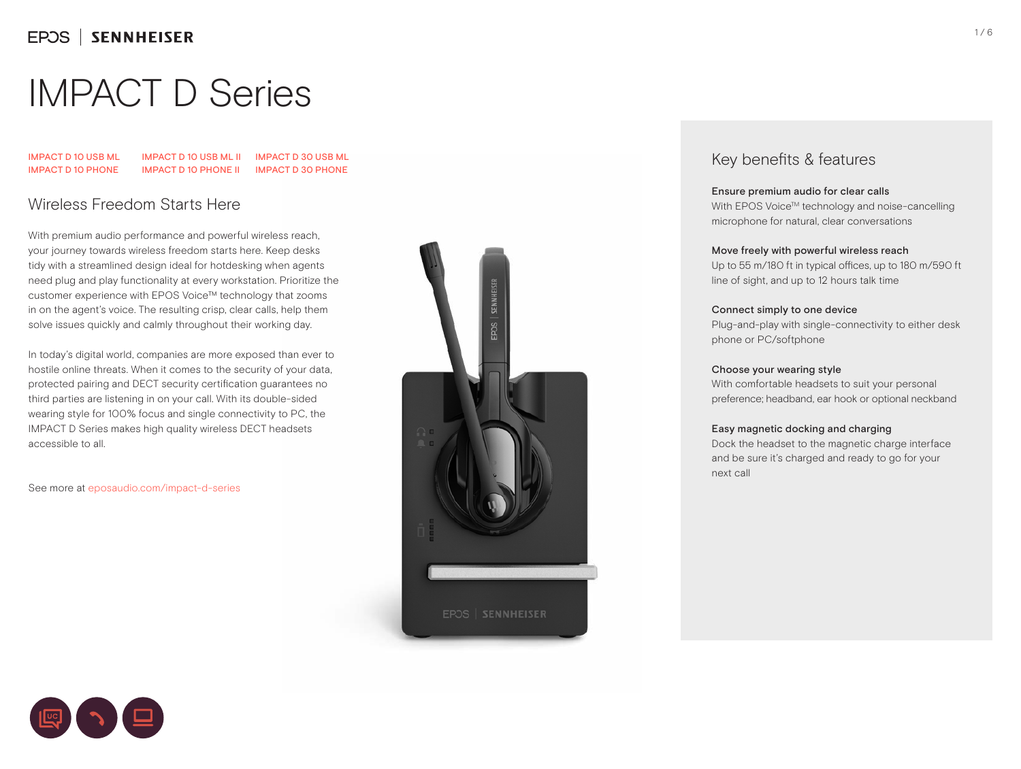IMPACT D 10 USB ML IMPACT D 10 PHONE IMPACT D 10 USB ML II IMPACT D 30 USB ML IMPACT D 10 PHONE II IMPACT D 30 PHONE

## Wireless Freedom Starts Here

With premium audio performance and powerful wireless reach, your journey towards wireless freedom starts here. Keep desks tidy with a streamlined design ideal for hotdesking when agents need plug and play functionality at every workstation. Prioritize the customer experience with EPOS Voice™ technology that zooms in on the agent's voice. The resulting crisp, clear calls, help them solve issues quickly and calmly throughout their working day.

In today's digital world, companies are more exposed than ever to hostile online threats. When it comes to the security of your data, protected pairing and DECT security certification guarantees no third parties are listening in on your call. With its double-sided wearing style for 100% focus and single connectivity to PC, the IMPACT D Series makes high quality wireless DECT headsets accessible to all.

See more at eposaudio.com/impact-d-series



### Key benefits & features

#### Ensure premium audio for clear calls

With EPOS Voice™ technology and noise-cancelling microphone for natural, clear conversations

#### Move freely with powerful wireless reach

Up to 55 m/180 ft in typical offices, up to 180 m/590 ft line of sight, and up to 12 hours talk time

#### Connect simply to one device

Plug-and-play with single-connectivity to either desk phone or PC/softphone

#### Choose your wearing style

With comfortable headsets to suit your personal preference; headband, ear hook or optional neckband

#### Easy magnetic docking and charging

Dock the headset to the magnetic charge interface and be sure it's charged and ready to go for your next call



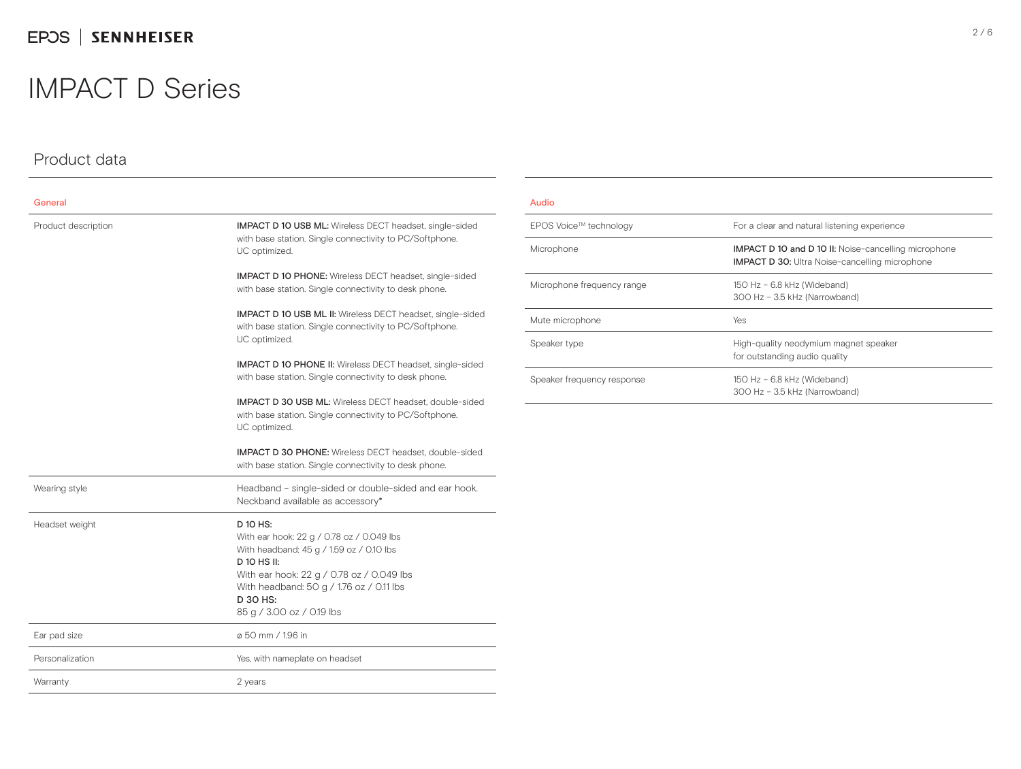## Product data

| General             |                                                                                                                                                                                                                                                    |  |  |
|---------------------|----------------------------------------------------------------------------------------------------------------------------------------------------------------------------------------------------------------------------------------------------|--|--|
| Product description | <b>IMPACT D 10 USB ML:</b> Wireless DECT headset, single-sided<br>with base station. Single connectivity to PC/Softphone.<br>UC optimized.                                                                                                         |  |  |
|                     | <b>IMPACT D 10 PHONE:</b> Wireless DECT headset, single-sided<br>with base station. Single connectivity to desk phone.                                                                                                                             |  |  |
|                     | <b>IMPACT D 10 USB ML II:</b> Wireless DECT headset, single-sided<br>with base station. Single connectivity to PC/Softphone.<br>UC optimized.                                                                                                      |  |  |
|                     | <b>IMPACT D 10 PHONE II:</b> Wireless DECT headset, single-sided<br>with base station. Single connectivity to desk phone.                                                                                                                          |  |  |
|                     | <b>IMPACT D 30 USB ML:</b> Wireless DECT headset, double-sided<br>with base station. Single connectivity to PC/Softphone.<br>UC optimized.                                                                                                         |  |  |
|                     | <b>IMPACT D 30 PHONE:</b> Wireless DECT headset, double-sided<br>with base station. Single connectivity to desk phone.                                                                                                                             |  |  |
| Wearing style       | Headband - single-sided or double-sided and ear hook.<br>Neckband available as accessory*                                                                                                                                                          |  |  |
| Headset weight      | D 10 HS:<br>With ear hook: 22 g / 0.78 oz / 0.049 lbs<br>With headband: 45 g / 1.59 oz / 0.10 lbs<br>D 10 HS II:<br>With ear hook: 22 g / 0.78 oz / 0.049 lbs<br>With headband: 50 g / 1.76 oz / 0.11 lbs<br>D 30 HS:<br>85 g / 3.00 oz / 0.19 lbs |  |  |
| Ear pad size        | ø 50 mm / 1.96 in                                                                                                                                                                                                                                  |  |  |
| Personalization     | Yes, with nameplate on headset                                                                                                                                                                                                                     |  |  |
| Warranty            | 2 years                                                                                                                                                                                                                                            |  |  |

#### Audio

| EPOS Voice™ technology     | For a clear and natural listening experience                                                                         |
|----------------------------|----------------------------------------------------------------------------------------------------------------------|
| Microphone                 | <b>IMPACT D 10 and D 10 II:</b> Noise-cancelling microphone<br><b>IMPACT D 30:</b> Ultra Noise-cancelling microphone |
| Microphone frequency range | 150 Hz - 6.8 kHz (Wideband)<br>300 Hz - 3.5 kHz (Narrowband)                                                         |
| Mute microphone            | Yes                                                                                                                  |
| Speaker type               | High-quality neodymium magnet speaker<br>for outstanding audio quality                                               |
| Speaker frequency response | 150 Hz - 6.8 kHz (Wideband)<br>300 Hz - 3.5 kHz (Narrowband)                                                         |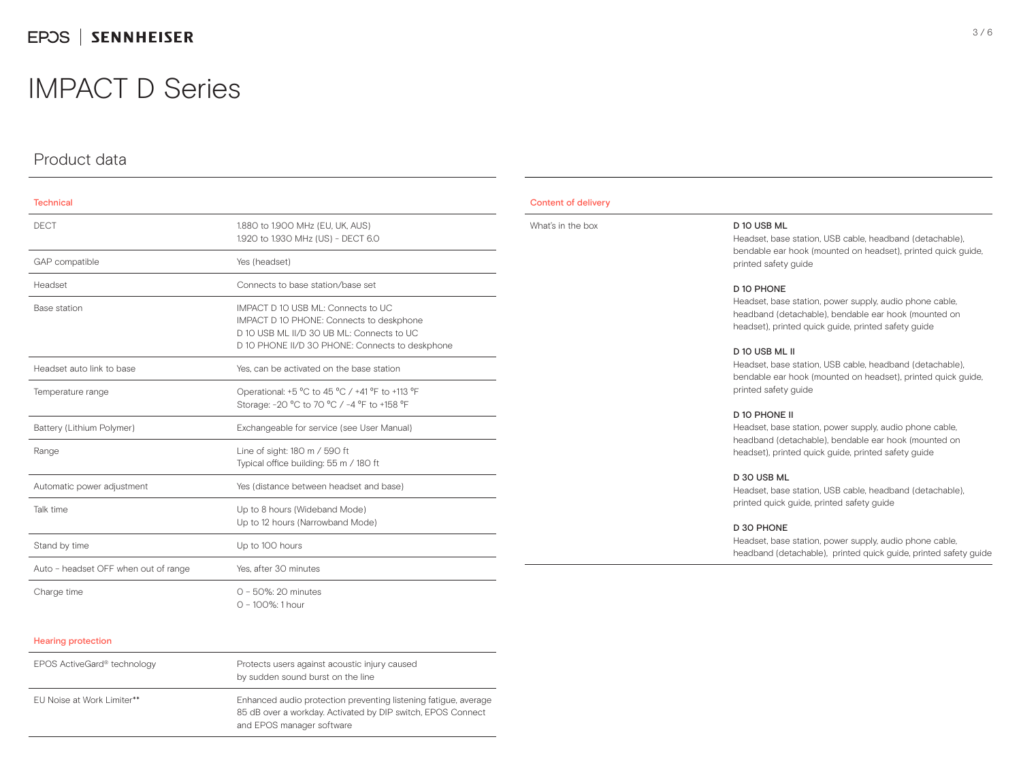### Product data

| <b>Technical</b>                     |                                                                                                                                                                                |
|--------------------------------------|--------------------------------------------------------------------------------------------------------------------------------------------------------------------------------|
| <b>DECT</b>                          | 1.880 to 1.900 MHz (EU, UK, AUS)<br>1.920 to 1.930 MHz (US) - DECT 6.0                                                                                                         |
| GAP compatible                       | Yes (headset)                                                                                                                                                                  |
| Headset                              | Connects to base station/base set                                                                                                                                              |
| Base station                         | IMPACT D 10 USB ML: Connects to UC<br>IMPACT D 10 PHONE: Connects to deskphone<br>D 10 USB MI II/D 30 UB MI: Connects to UC<br>D 10 PHONE II/D 30 PHONE: Connects to deskphone |
| Headset auto link to base            | Yes, can be activated on the base station                                                                                                                                      |
| Temperature range                    | Operational: +5 °C to 45 °C / +41 °F to +113 °F<br>Storage: -20 °C to 70 °C / -4 °F to +158 °F                                                                                 |
| Battery (Lithium Polymer)            | Exchangeable for service (see User Manual)                                                                                                                                     |
| Range                                | Line of sight: 180 m / 590 ft<br>Typical office building: 55 m / 180 ft                                                                                                        |
| Automatic power adjustment           | Yes (distance between headset and base)                                                                                                                                        |
| Talk time                            | Up to 8 hours (Wideband Mode)<br>Up to 12 hours (Narrowband Mode)                                                                                                              |
| Stand by time                        | Up to 100 hours                                                                                                                                                                |
| Auto - headset OFF when out of range | Yes, after 30 minutes                                                                                                                                                          |
| Charge time                          | $Q - 50\%$ : 20 minutes<br>$Q - 100\%$ : 1 hour                                                                                                                                |

#### Hearing protection

| EPOS ActiveGard® technology | Protects users against acoustic injury caused<br>by sudden sound burst on the line                                                                          |
|-----------------------------|-------------------------------------------------------------------------------------------------------------------------------------------------------------|
| FU Noise at Work Limiter**  | Enhanced audio protection preventing listening fatigue, average<br>85 dB over a workday. Activated by DIP switch, EPOS Connect<br>and EPOS manager software |

#### Content of delivery

| What's in the box | D 10 USB ML<br>Headset, base station, USB cable, headband (detachable),<br>bendable ear hook (mounted on headset), printed quick quide,<br>printed safety guide                         |  |
|-------------------|-----------------------------------------------------------------------------------------------------------------------------------------------------------------------------------------|--|
|                   | D 10 PHONE<br>Headset, base station, power supply, audio phone cable,<br>headband (detachable), bendable ear hook (mounted on<br>headset), printed quick guide, printed safety guide    |  |
|                   | D 10 USB ML II<br>Headset, base station, USB cable, headband (detachable),<br>bendable ear hook (mounted on headset), printed quick quide,<br>printed safety quide                      |  |
|                   | D 10 PHONE II<br>Headset, base station, power supply, audio phone cable,<br>headband (detachable), bendable ear hook (mounted on<br>headset), printed quick quide, printed safety quide |  |
|                   | D 30 USB ML<br>Headset, base station, USB cable, headband (detachable),<br>printed quick guide, printed safety guide                                                                    |  |

#### D 30 PHONE

Headset, base station, power supply, audio phone cable, headband (detachable), printed quick guide, printed safety guide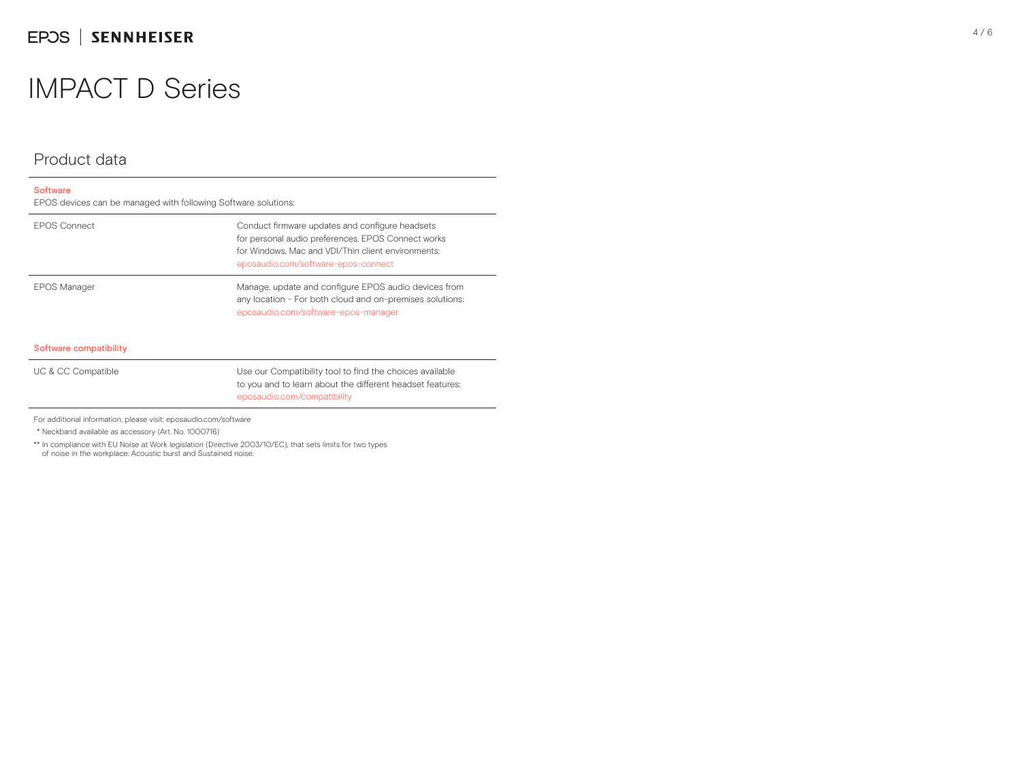## EPOS | SENNHEISER

## IMPACT D Series

### Product data

| <b>Software</b><br>EPOS devices can be managed with following Software solutions: |                                                                                                                                                                                                    |
|-----------------------------------------------------------------------------------|----------------------------------------------------------------------------------------------------------------------------------------------------------------------------------------------------|
| <b>EPOS Connect</b>                                                               | Conduct firmware updates and configure headsets<br>for personal audio preferences. EPOS Connect works<br>for Windows. Mac and VDI/Thin client environments:<br>eposaudio.com/software-epos-connect |
| <b>EPOS Manager</b>                                                               | Manage, update and configure EPOS audio devices from<br>any location - For both cloud and on-premises solutions:<br>eposaudio.com/software-epos-manager                                            |
| Software compatibility                                                            |                                                                                                                                                                                                    |
| UC & CC Compatible                                                                | Use our Compatibility tool to find the choices available<br>to you and to learn about the different headset features:<br>eposaudio.com/compatibility                                               |

For additional information, please visit: eposaudio.com/software

\* Neckband available as accessory (Art. No. 1000716)

\*\* In compliance with EU Noise at Work legislation (Directive 2003/10/EC), that sets limits for two types

of noise in the workplace: Acoustic burst and Sustained noise.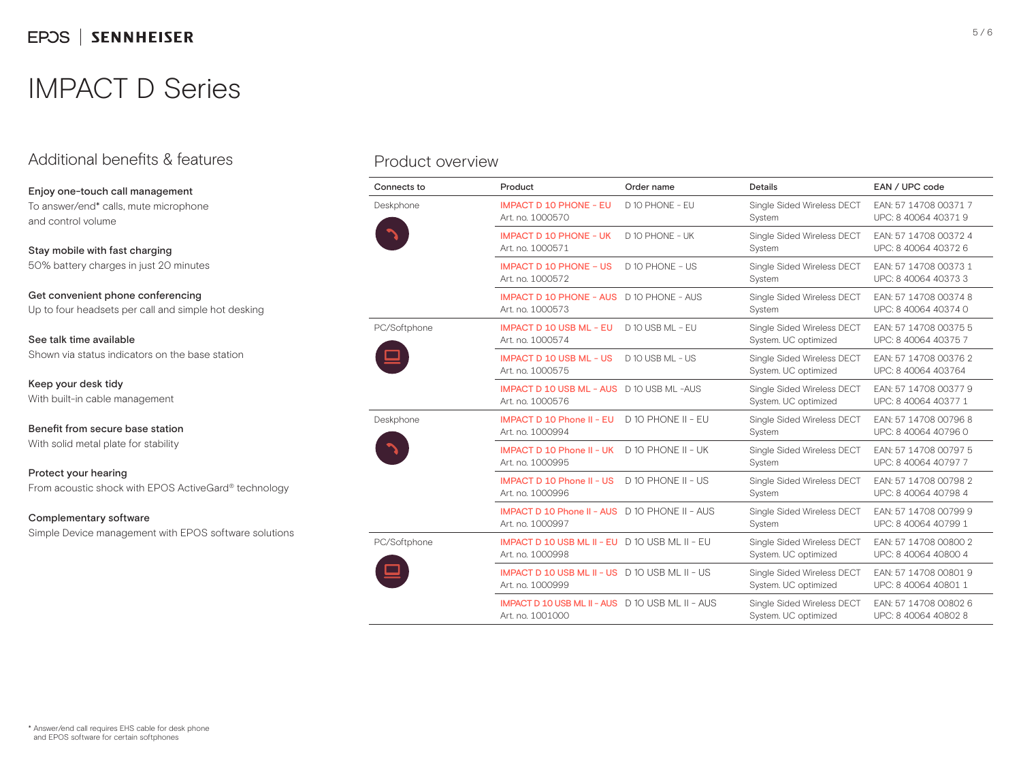## Additional benefits & features

Enjoy one-touch call management To answer/end\* calls, mute microphone and control volume

Stay mobile with fast charging 50% battery charges in just 20 minutes

Get convenient phone conferencing Up to four headsets per call and simple hot desking

See talk time available Shown via status indicators on the base station

Keep your desk tidy With built-in cable management

Benefit from secure base station With solid metal plate for stability

Protect your hearing From acoustic shock with EPOS ActiveGard® technology

#### Complementary software

Simple Device management with EPOS software solutions

### Product overview

| Connects to  | Product                                                                     | Order name         | Details                                            | EAN / UPC code                                |
|--------------|-----------------------------------------------------------------------------|--------------------|----------------------------------------------------|-----------------------------------------------|
| Deskphone    | <b>IMPACT D 10 PHONE - EU</b><br>Art. no. 1000570                           | D 10 PHONE - EU    | Single Sided Wireless DECT<br>System               | EAN: 57 14708 00371 7<br>UPC: 8 40064 40371 9 |
|              | <b>IMPACT D 10 PHONE - UK</b><br>Art. no. 1000571                           | D 10 PHONE - UK    | Single Sided Wireless DECT<br>System               | EAN: 57 14708 00372 4<br>UPC: 8 40064 40372 6 |
|              | <b>IMPACT D 10 PHONE - US</b><br>Art. no. 1000572                           | D 10 PHONE - US    | Single Sided Wireless DECT<br>System               | EAN: 57 14708 00373 1<br>UPC: 8 40064 40373 3 |
|              | <b>IMPACT D 10 PHONE - AUS D 10 PHONE - AUS</b><br>Art. no. 1000573         |                    | Single Sided Wireless DECT<br>System               | EAN: 57 14708 00374 8<br>UPC: 8 40064 40374 0 |
| PC/Softphone | <b>IMPACT D 10 USB ML - EU</b><br>Art. no. 1000574                          | $D$ 10 USB MI - FU | Single Sided Wireless DECT<br>System. UC optimized | EAN: 57 14708 00375 5<br>UPC: 8 40064 40375 7 |
|              | <b>IMPACT D 10 USB ML - US</b><br>Art. no. 1000575                          | D 10 USB ML - US   | Single Sided Wireless DECT<br>System. UC optimized | EAN: 57 14708 00376 2<br>UPC: 8 40064 403764  |
|              | <b>IMPACT D 10 USB ML - AUS</b> D 10 USB ML -AUS<br>Art. no. 1000576        |                    | Single Sided Wireless DECT<br>System. UC optimized | EAN: 57 14708 00377 9<br>UPC: 8 40064 40377 1 |
| Deskphone    | <b>IMPACT D 10 Phone II - EU</b><br>Art. no. 1000994                        | D 10 PHONE II - EU | Single Sided Wireless DECT<br>System               | EAN: 57 14708 00796 8<br>UPC: 8 40064 40796 0 |
|              | IMPACT D 10 Phone II - UK<br>Art. no. 1000995                               | D 10 PHONE II - UK | Single Sided Wireless DECT<br>System               | EAN: 57 14708 00797 5<br>UPC: 8 40064 40797 7 |
|              | <b>IMPACT D 10 Phone II - US</b><br>Art. no. 1000996                        | D 10 PHONE II - US | Single Sided Wireless DECT<br>System               | EAN: 57 14708 00798 2<br>UPC: 8 40064 40798 4 |
|              | <b>IMPACT D 10 Phone II - AUS</b> D 10 PHONE II - AUS<br>Art. no. 1000997   |                    | Single Sided Wireless DECT<br>System               | EAN: 57 14708 00799 9<br>UPC: 8 40064 40799 1 |
| PC/Softphone | IMPACT D 10 USB ML II - EU D 10 USB ML II - EU<br>Art. no. 1000998          |                    | Single Sided Wireless DECT<br>System. UC optimized | EAN: 57 14708 00800 2<br>UPC: 8 40064 40800 4 |
|              | <b>IMPACT D 10 USB ML II - US D 10 USB ML II - US</b><br>Art. no. 1000999   |                    | Single Sided Wireless DECT<br>System. UC optimized | EAN: 57 14708 00801 9<br>UPC: 8 40064 40801 1 |
|              | <b>IMPACT D 10 USB ML II - AUS</b> D 10 USB ML II - AUS<br>Art. no. 1001000 |                    | Single Sided Wireless DECT<br>System. UC optimized | EAN: 57 14708 00802 6<br>UPC: 8 40064 40802 8 |